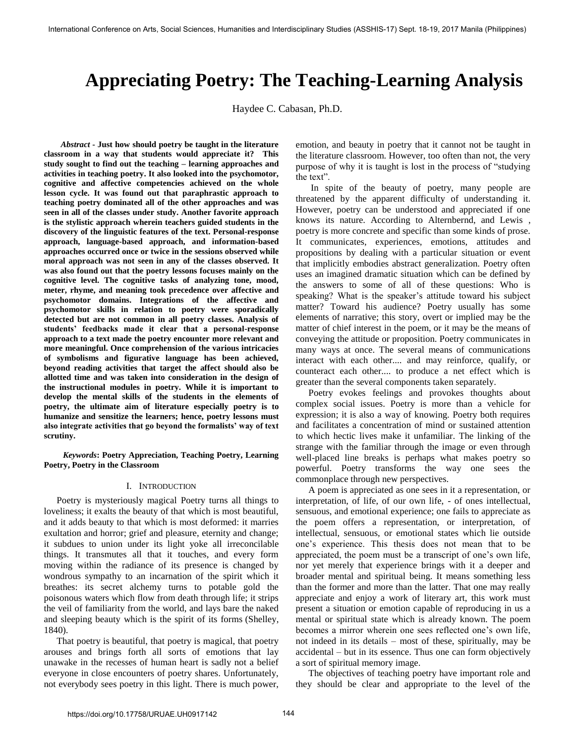# **Appreciating Poetry: The Teaching-Learning Analysis**

Haydee C. Cabasan, Ph.D.

*Abstract* **- Just how should poetry be taught in the literature classroom in a way that students would appreciate it? This study sought to find out the teaching – learning approaches and activities in teaching poetry. It also looked into the psychomotor, cognitive and affective competencies achieved on the whole lesson cycle. It was found out that paraphrastic approach to teaching poetry dominated all of the other approaches and was seen in all of the classes under study. Another favorite approach is the stylistic approach wherein teachers guided students in the discovery of the linguistic features of the text. Personal-response approach, language-based approach, and information-based approaches occurred once or twice in the sessions observed while moral approach was not seen in any of the classes observed. It was also found out that the poetry lessons focuses mainly on the cognitive level. The cognitive tasks of analyzing tone, mood, meter, rhyme, and meaning took precedence over affective and psychomotor domains. Integrations of the affective and psychomotor skills in relation to poetry were sporadically detected but are not common in all poetry classes. Analysis of students' feedbacks made it clear that a personal-response approach to a text made the poetry encounter more relevant and more meaningful. Once comprehension of the various intricacies of symbolisms and figurative language has been achieved, beyond reading activities that target the affect should also be allotted time and was taken into consideration in the design of the instructional modules in poetry. While it is important to develop the mental skills of the students in the elements of poetry, the ultimate aim of literature especially poetry is to humanize and sensitize the learners; hence, poetry lessons must also integrate activities that go beyond the formalists' way of text scrutiny.** 

 *Keywords***: Poetry Appreciation, Teaching Poetry, Learning Poetry, Poetry in the Classroom** 

## I. INTRODUCTION

Poetry is mysteriously magical Poetry turns all things to loveliness; it exalts the beauty of that which is most beautiful, and it adds beauty to that which is most deformed: it marries exultation and horror; grief and pleasure, eternity and change; it subdues to union under its light yoke all irreconcilable things. It transmutes all that it touches, and every form moving within the radiance of its presence is changed by wondrous sympathy to an incarnation of the spirit which it breathes: its secret alchemy turns to potable gold the poisonous waters which flow from death through life; it strips the veil of familiarity from the world, and lays bare the naked and sleeping beauty which is the spirit of its forms (Shelley, 1840).

That poetry is beautiful, that poetry is magical, that poetry arouses and brings forth all sorts of emotions that lay unawake in the recesses of human heart is sadly not a belief everyone in close encounters of poetry shares. Unfortunately, not everybody sees poetry in this light. There is much power,

emotion, and beauty in poetry that it cannot not be taught in the literature classroom. However, too often than not, the very purpose of why it is taught is lost in the process of "studying the text".

 In spite of the beauty of poetry, many people are threatened by the apparent difficulty of understanding it. However, poetry can be understood and appreciated if one knows its nature. According to Alternbernd, and Lewis , poetry is more concrete and specific than some kinds of prose. It communicates, experiences, emotions, attitudes and propositions by dealing with a particular situation or event that implicitly embodies abstract generalization. Poetry often uses an imagined dramatic situation which can be defined by the answers to some of all of these questions: Who is speaking? What is the speaker's attitude toward his subject matter? Toward his audience? Poetry usually has some elements of narrative; this story, overt or implied may be the matter of chief interest in the poem, or it may be the means of conveying the attitude or proposition. Poetry communicates in many ways at once. The several means of communications interact with each other.... and may reinforce, qualify, or counteract each other.... to produce a net effect which is greater than the several components taken separately.

Poetry evokes feelings and provokes thoughts about complex social issues. Poetry is more than a vehicle for expression; it is also a way of knowing. Poetry both requires and facilitates a concentration of mind or sustained attention to which hectic lives make it unfamiliar. The linking of the strange with the familiar through the image or even through well-placed line breaks is perhaps what makes poetry so powerful. Poetry transforms the way one sees the commonplace through new perspectives.

A poem is appreciated as one sees in it a representation, or interpretation, of life, of our own life, - of ones intellectual, sensuous, and emotional experience; one fails to appreciate as the poem offers a representation, or interpretation, of intellectual, sensuous, or emotional states which lie outside one's experience. This thesis does not mean that to be appreciated, the poem must be a transcript of one's own life, nor yet merely that experience brings with it a deeper and broader mental and spiritual being. It means something less than the former and more than the latter. That one may really appreciate and enjoy a work of literary art, this work must present a situation or emotion capable of reproducing in us a mental or spiritual state which is already known. The poem becomes a mirror wherein one sees reflected one's own life, not indeed in its details – most of these, spiritually, may be accidental – but in its essence. Thus one can form objectively a sort of spiritual memory image.

The objectives of teaching poetry have important role and they should be clear and appropriate to the level of the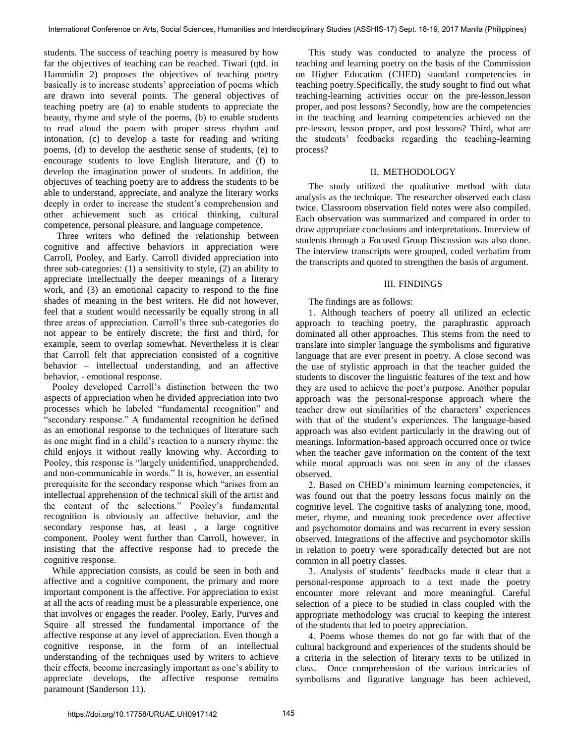students. The success of teaching poetry is measured by how far the objectives of teaching can be reached. Tiwari (qtd. in Hammidin 2) proposes the objectives of teaching poetry basically is to increase students' appreciation of poems which are drawn into several points. The general objectives of teaching poetry are (a) to enable students to appreciate the beauty, rhyme and style of the poems, (b) to enable students to read aloud the poem with proper stress rhythm and intonation, (c) to develop a taste for reading and writing poems, (d) to develop the aesthetic sense of students, (e) to encourage students to love English literature, and (f) to develop the imagination power of students. In addition, the objectives of teaching poetry are to address the students to be able to understand, appreciate, and analyze the literary works deeply in order to increase the student's comprehension and other achievement such as critical thinking, cultural competence, personal pleasure, and language competence.

Three writers who defined the relationship between cognitive and affective behaviors in appreciation were Carroll, Pooley, and Early. Carroll divided appreciation into three sub-categories: (1) a sensitivity to style, (2) an ability to appreciate intellectually the deeper meanings of a literary work, and (3) an emotional capacity to respond to the fine shades of meaning in the best writers. He did not however, feel that a student would necessarily be equally strong in all three areas of appreciation. Carroll's three sub-categories do not appear to be entirely discrete; the first and third, for example, seem to overlap somewhat. Nevertheless it is clear that Carroll felt that appreciation consisted of a cognitive behavior – intellectual understanding, and an affective behavior, - emotional response.

Pooley developed Carroll's distinction between the two aspects of appreciation when he divided appreciation into two processes which he labeled "fundamental recognition" and "secondary response." A fundamental recognition he defined as an emotional response to the techniques of literature such as one might find in a child's reaction to a nursery rhyme: the child enjoys it without really knowing why. According to Pooley, this response is "largely unidentified, unapprehended, and non-communicable in words." It is, however, an essential prerequisite for the secondary response which "arises from an intellectual apprehension of the technical skill of the artist and the content of the selections." Pooley's fundamental recognition is obviously an affective behavior, and the secondary response has, at least , a large cognitive component. Pooley went further than Carroll, however, in insisting that the affective response had to precede the cognitive response.

While appreciation consists, as could be seen in both and affective and a cognitive component, the primary and more important component is the affective. For appreciation to exist at all the acts of reading must be a pleasurable experience, one that involves or engages the reader. Pooley, Early, Purves and Squire all stressed the fundamental importance of the affective response at any level of appreciation. Even though a cognitive response, in the form of an intellectual understanding of the techniques used by writers to achieve their effects, become increasingly important as one's ability to appreciate develops, the affective response remains paramount (Sanderson 11).

This study was conducted to analyze the process of teaching and learning poetry on the basis of the Commission on Higher Education (CHED) standard competencies in teaching poetry.Specifically, the study sought to find out what teaching-learning activities occur on the pre-lesson,lesson proper, and post lessons? Secondly, how are the competencies in the teaching and learning competencies achieved on the pre-lesson, lesson proper, and post lessons? Third, what are the students' feedbacks regarding the teaching-learning process?

## II. METHODOLOGY

The study utilized the qualitative method with data analysis as the technique. The researcher observed each class twice. Classroom observation field notes were also compiled. Each observation was summarized and compared in order to draw appropriate conclusions and interpretations. Interview of students through a Focused Group Discussion was also done. The interview transcripts were grouped, coded verbatim from the transcripts and quoted to strengthen the basis of argument.

## III. FINDINGS

The findings are as follows:

1. Although teachers of poetry all utilized an eclectic approach to teaching poetry, the paraphrastic approach dominated all other approaches. This stems from the need to translate into simpler language the symbolisms and figurative language that are ever present in poetry. A close second was the use of stylistic approach in that the teacher guided the students to discover the linguistic features of the text and how they are used to achieve the poet's purpose. Another popular approach was the personal-response approach where the teacher drew out similarities of the characters' experiences with that of the student's experiences. The language-based approach was also evident particularly in the drawing out of meanings. Information-based approach occurred once or twice when the teacher gave information on the content of the text while moral approach was not seen in any of the classes observed.

2. Based on CHED's minimum learning competencies, it was found out that the poetry lessons focus mainly on the cognitive level. The cognitive tasks of analyzing tone, mood, meter, rhyme, and meaning took precedence over affective and psychomotor domains and was recurrent in every session observed. Integrations of the affective and psychomotor skills in relation to poetry were sporadically detected but are not common in all poetry classes.

3. Analysis of students' feedbacks made it clear that a personal-response approach to a text made the poetry encounter more relevant and more meaningful. Careful selection of a piece to be studied in class coupled with the appropriate methodology was crucial to keeping the interest of the students that led to poetry appreciation.

4. Poems whose themes do not go far with that of the cultural background and experiences of the students should be a criteria in the selection of literary texts to be utilized in class. Once comprehension of the various intricacies of symbolisms and figurative language has been achieved,